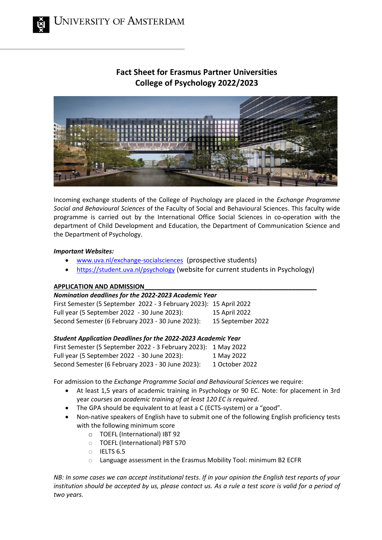# **Fact Sheet for Erasmus Partner Universities College of Psychology 2022/2023**



Incoming exchange students of the College of Psychology are placed in the *Exchange Programme Social and Behavioural Sciences* of the Faculty of Social and Behavioural Sciences. This faculty wide programme is carried out by the International Office Social Sciences in co-operation with the department of Child Development and Education, the Department of Communication Science and the Department of Psychology.

# *Important Websites:*

- [www.uva.nl/exchange-socialsciences](http://www.uva.nl/exchange-socialsciences) (prospective students)
- <https://student.uva.nl/psychology> (website for current students in Psychology)

# **APPLICATION AND ADMISSION\_\_\_\_\_\_\_\_\_\_\_\_\_\_\_\_\_\_\_\_\_\_\_\_\_\_\_\_\_\_\_\_\_\_\_\_\_\_\_\_\_\_\_\_\_\_\_\_\_**

## *Nomination deadlines for the 2022‐2023 Academic Year*

First Semester (5 September 2022 ‐ 3 February 2023): 15 April 2022 Full year (5 September 2022 ‐ 30 June 2023): 15 April 2022 Second Semester (6 February 2023 ‐ 30 June 2023): 15 September 2022

# *Student Application Deadlines for the 2022‐2023 Academic Year*

| First Semester (5 September 2022 - 3 February 2023): 1 May 2022 |                |
|-----------------------------------------------------------------|----------------|
| Full year (5 September 2022 - 30 June 2023):                    | 1 May 2022     |
| Second Semester (6 February 2023 - 30 June 2023):               | 1 October 2022 |

For admission to the *Exchange Programme Social and Behavioural Sciences* we require:

- At least 1,5 years of academic training in Psychology or 90 EC. Note: for placement in 3rd year *courses an academic training of at least 120 EC is required*.
- The GPA should be equivalent to at least a C (ECTS-system) or a "good".
- Non-native speakers of English have to submit one of the following English proficiency tests with the following minimum score
	- o TOEFL (International) IBT 92
	- o TOEFL (International) PBT 570
	- o IELTS 6.5
	- Language assessment in the Erasmus Mobility Tool: minimum B2 ECFR

*NB: In some cases we can accept institutional tests*. *If in your opinion the English test reports of your institution should be accepted by us, please contact us. As a rule a test score is valid for a period of two years.*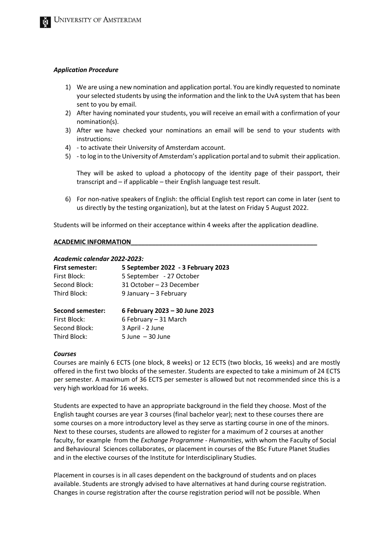#### *Application Procedure*

- 1) We are using a new nomination and application portal. You are kindly requested to nominate your selected students by using the information and the link to the UvA system that has been sent to you by email.
- 2) After having nominated your students, you will receive an email with a confirmation of your nomination(s).
- 3) After we have checked your nominations an email will be send to your students with instructions:
- 4) to activate their University of Amsterdam account.
- 5) to log in to the University of Amsterdam's application portal and to submit their application.

They will be asked to upload a photocopy of the identity page of their passport, their transcript and – if applicable – their English language test result.

6) For non-native speakers of English: the official English test report can come in later (sent to us directly by the testing organization), but at the latest on Friday 5 August 2022.

Students will be informed on their acceptance within 4 weeks after the application deadline.

#### **ACADEMIC INFORMATION\_\_\_\_\_\_\_\_\_\_\_\_\_\_\_\_\_\_\_\_\_\_\_\_\_\_\_\_\_\_\_\_\_\_\_\_\_\_\_\_\_\_\_\_\_\_\_\_\_\_\_\_\_**

#### *Academic calendar 2022-2023:*

| <b>First semester:</b>  | 5 September 2022 - 3 February 2023 |
|-------------------------|------------------------------------|
| First Block:            | 5 September - 27 October           |
| Second Block:           | 31 October - 23 December           |
| Third Block:            | 9 January - 3 February             |
| <b>Second semester:</b> | 6 February 2023 - 30 June 2023     |
| First Block:            | 6 February - 31 March              |
| Second Block:           | 3 April - 2 June                   |
| Third Block:            | $5$ June $-30$ June                |

#### *Courses*

Courses are mainly 6 ECTS (one block, 8 weeks) or 12 ECTS (two blocks, 16 weeks) and are mostly offered in the first two blocks of the semester. Students are expected to take a minimum of 24 ECTS per semester. A maximum of 36 ECTS per semester is allowed but not recommended since this is a very high workload for 16 weeks.

Students are expected to have an appropriate background in the field they choose. Most of the English taught courses are year 3 courses (final bachelor year); next to these courses there are some courses on a more introductory level as they serve as starting course in one of the minors. Next to these courses, students are allowed to register for a maximum of 2 courses at another faculty, for example from the *Exchange Programme - Humanities*, with whom the Faculty of Social and Behavioural Sciences collaborates, or placement in courses of the BSc Future Planet Studies and in the elective courses of the Institute for Interdisciplinary Studies.

Placement in courses is in all cases dependent on the background of students and on places available. Students are strongly advised to have alternatives at hand during course registration. Changes in course registration after the course registration period will not be possible. When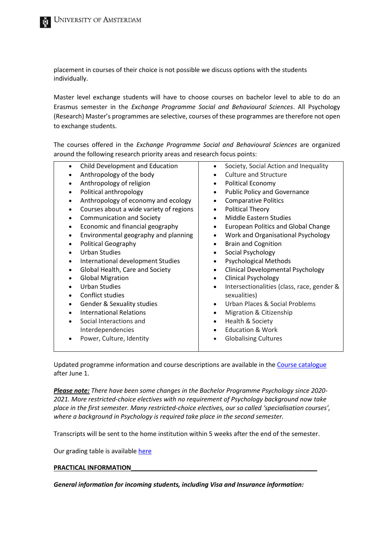placement in courses of their choice is not possible we discuss options with the students individually.

Master level exchange students will have to choose courses on bachelor level to able to do an Erasmus semester in the *Exchange Programme Social and Behavioural Sciences*. All Psychology (Research) Master's programmes are selective, courses of these programmes are therefore not open to exchange students.

The courses offered in the *Exchange Programme Social and Behavioural Sciences* are organized around the following research priority areas and research focus points:

| Child Development and Education                | Society, Social Action and Inequality                   |
|------------------------------------------------|---------------------------------------------------------|
| Anthropology of the body                       | <b>Culture and Structure</b>                            |
| Anthropology of religion                       | <b>Political Economy</b><br>$\bullet$                   |
| Political anthropology                         | <b>Public Policy and Governance</b><br>٠                |
| Anthropology of economy and ecology            | <b>Comparative Politics</b><br>$\bullet$                |
| Courses about a wide variety of regions        | <b>Political Theory</b><br>$\bullet$                    |
| <b>Communication and Society</b>               | Middle Eastern Studies<br>$\bullet$                     |
| Economic and financial geography               | <b>European Politics and Global Change</b>              |
| Environmental geography and planning           | Work and Organisational Psychology                      |
| <b>Political Geography</b>                     | <b>Brain and Cognition</b><br>$\bullet$                 |
| <b>Urban Studies</b>                           | Social Psychology<br>$\bullet$                          |
| International development Studies<br>$\bullet$ | <b>Psychological Methods</b><br>$\bullet$               |
| Global Health, Care and Society                | <b>Clinical Developmental Psychology</b><br>$\bullet$   |
| <b>Global Migration</b>                        | <b>Clinical Psychology</b><br>$\bullet$                 |
| <b>Urban Studies</b>                           | Intersectionalities (class, race, gender &<br>$\bullet$ |
| Conflict studies                               | sexualities)                                            |
| <b>Gender &amp; Sexuality studies</b><br>٠     | Urban Places & Social Problems<br>$\bullet$             |
| <b>International Relations</b>                 | Migration & Citizenship<br>$\bullet$                    |
| Social Interactions and                        | Health & Society<br>$\bullet$                           |
| Interdependencies                              | <b>Education &amp; Work</b><br>$\bullet$                |
| Power, Culture, Identity                       | <b>Globalising Cultures</b><br>$\bullet$                |
|                                                |                                                         |

Updated programme information and course descriptions are available in the [Course catalogue](https://studiegids.uva.nl/xmlpages/page/2021-2022-en/search-programme/programme/6610) after June 1.

*Please note: There have been some changes in the Bachelor Programme Psychology since 2020- 2021. More restricted-choice electives with no requirement of Psychology background now take place in the first semester. Many restricted-choice electives, our so called 'specialisation courses', where a background in Psychology is required take place in the second semester.*

Transcripts will be sent to the home institution within 5 weeks after the end of the semester.

Our grading table is available [here](https://student.uva.nl/en/content/az/grading-scheme/grading-scheme.html)

#### PRACTICAL INFORMATION

*General information for incoming students, including Visa and Insurance information:*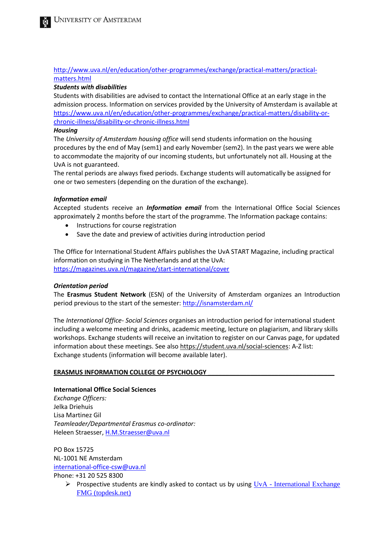# [http://www.uva.nl/en/education/other-programmes/exchange/practical-matters/practical](http://www.uva.nl/en/education/other-programmes/exchange/practical-matters/practical-matters.html)[matters.html](http://www.uva.nl/en/education/other-programmes/exchange/practical-matters/practical-matters.html)

# *Students with disabilities*

Students with disabilities are advised to contact the International Office at an early stage in the admission process. Information on services provided by the University of Amsterdam is available at [https://www.uva.nl/en/education/other-programmes/exchange/practical-matters/disability-or](https://www.uva.nl/en/education/other-programmes/exchange/practical-matters/disability-or-chronic-illness/disability-or-chronic-illness.html)[chronic-illness/disability-or-chronic-illness.html](https://www.uva.nl/en/education/other-programmes/exchange/practical-matters/disability-or-chronic-illness/disability-or-chronic-illness.html)

## *Housing*

The *University of Amsterdam housing office* will send students information on the housing procedures by the end of May (sem1) and early November (sem2). In the past years we were able to accommodate the majority of our incoming students, but unfortunately not all. Housing at the UvA is not guaranteed.

The rental periods are always fixed periods. Exchange students will automatically be assigned for one or two semesters (depending on the duration of the exchange).

## *Information email*

Accepted students receive an *Information email* from the International Office Social Sciences approximately 2 months before the start of the programme. The Information package contains:

- Instructions for course registration
- Save the date and preview of activities during introduction period

The Office for International Student Affairs publishes the UvA START Magazine, including practical information on studying in The Netherlands and at the UvA: <https://magazines.uva.nl/magazine/start-international/cover>

## *Orientation period*

The **Erasmus Student Network** (ESN) of the University of Amsterdam organizes an Introduction period previous to the start of the semester:<http://isnamsterdam.nl/>

The *International Office- Social Sciences* organises an introduction period for international student including a welcome meeting and drinks, academic meeting, lecture on plagiarism, and library skills workshops. Exchange students will receive an invitation to register on our Canvas page, for updated information about these meetings. See als[o https://student.uva.nl/social-sciences:](https://student.uva.nl/social-sciences) A-Z list: Exchange students (information will become available later).

## **ERASMUS INFORMATION COLLEGE OF PSYCHOLOGY**

## **International Office Social Sciences**

*Exchange Officers:* Jelka Driehuis Lisa Martinez Gil *Teamleader/Departmental Erasmus co-ordinator:* Heleen Straesser, [H.M.Straesser@uva.nl](mailto:H.M.Straesser@uva.nl)

PO Box 15725 NL‐1001 NE Amsterdam international‐office‐csw@uva.nl Phone: +31 20 525 8300

 $\triangleright$  Prospective students are kindly asked to contact us by using  $UvA$  - International Exchange [FMG \(topdesk.net\)](https://uva-ac.topdesk.net/xfg/openengfmgeo)